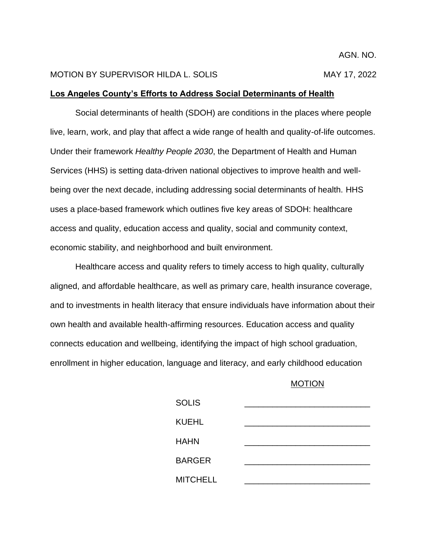## MOTION BY SUPERVISOR HILDA L. SOLIS MAY 17, 2022

## **Los Angeles County's Efforts to Address Social Determinants of Health**

Social determinants of health (SDOH) are conditions in the places where people live, learn, work, and play that affect a wide range of health and quality-of-life outcomes. Under their framework *Healthy People 2030*, the Department of Health and Human Services (HHS) is setting data-driven national objectives to improve health and wellbeing over the next decade, including addressing social determinants of health. HHS uses a place-based framework which outlines five key areas of SDOH: healthcare access and quality, education access and quality, social and community context, economic stability, and neighborhood and built environment.

Healthcare access and quality refers to timely access to high quality, culturally aligned, and affordable healthcare, as well as primary care, health insurance coverage, and to investments in health literacy that ensure individuals have information about their own health and available health-affirming resources. Education access and quality connects education and wellbeing, identifying the impact of high school graduation, enrollment in higher education, language and literacy, and early childhood education

## MOTION

| <b>SOLIS</b>    |  |
|-----------------|--|
| <b>KUEHL</b>    |  |
| <b>HAHN</b>     |  |
| <b>BARGER</b>   |  |
| <b>MITCHELL</b> |  |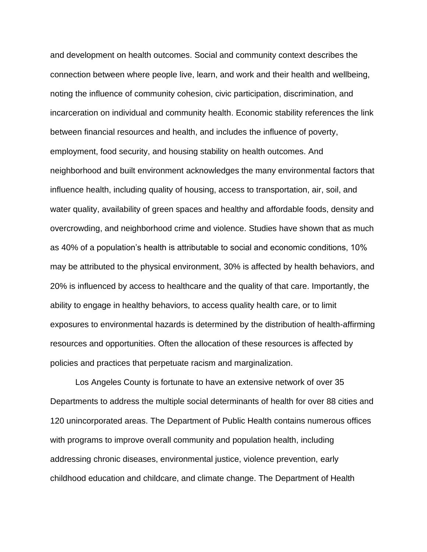and development on health outcomes. Social and community context describes the connection between where people live, learn, and work and their health and wellbeing, noting the influence of community cohesion, civic participation, discrimination, and incarceration on individual and community health. Economic stability references the link between financial resources and health, and includes the influence of poverty, employment, food security, and housing stability on health outcomes. And neighborhood and built environment acknowledges the many environmental factors that influence health, including quality of housing, access to transportation, air, soil, and water quality, availability of green spaces and healthy and affordable foods, density and overcrowding, and neighborhood crime and violence. Studies have shown that as much as 40% of a population's health is attributable to social and economic conditions, 10% may be attributed to the physical environment, 30% is affected by health behaviors, and 20% is influenced by access to healthcare and the quality of that care. Importantly, the ability to engage in healthy behaviors, to access quality health care, or to limit exposures to environmental hazards is determined by the distribution of health-affirming resources and opportunities. Often the allocation of these resources is affected by policies and practices that perpetuate racism and marginalization.

Los Angeles County is fortunate to have an extensive network of over 35 Departments to address the multiple social determinants of health for over 88 cities and 120 unincorporated areas. The Department of Public Health contains numerous offices with programs to improve overall community and population health, including addressing chronic diseases, environmental justice, violence prevention, early childhood education and childcare, and climate change. The Department of Health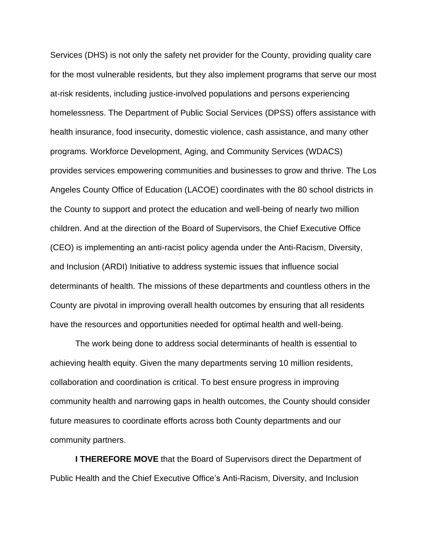Services (DHS) is not only the safety net provider for the County, providing quality care for the most vulnerable residents, but they also implement programs that serve our most at-risk residents, including justice-involved populations and persons experiencing homelessness. The Department of Public Social Services (DPSS) offers assistance with health insurance, food insecurity, domestic violence, cash assistance, and many other programs. Workforce Development, Aging, and Community Services (WDACS) provides services empowering communities and businesses to grow and thrive. The Los Angeles County Office of Education (LACOE) coordinates with the 80 school districts in the County to support and protect the education and well-being of nearly two million children. And at the direction of the Board of Supervisors, the Chief Executive Office (CEO) is implementing an anti-racist policy agenda under the Anti-Racism, Diversity, and Inclusion (ARDI) Initiative to address systemic issues that influence social determinants of health. The missions of these departments and countless others in the County are pivotal in improving overall health outcomes by ensuring that all residents have the resources and opportunities needed for optimal health and well-being.

The work being done to address social determinants of health is essential to achieving health equity. Given the many departments serving 10 million residents, collaboration and coordination is critical. To best ensure progress in improving community health and narrowing gaps in health outcomes, the County should consider future measures to coordinate efforts across both County departments and our community partners.

**I THEREFORE MOVE** that the Board of Supervisors direct the Department of Public Health and the Chief Executive Office's Anti-Racism, Diversity, and Inclusion